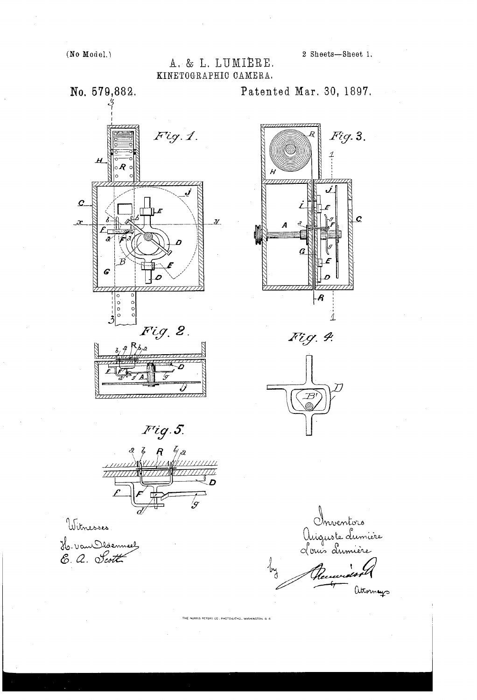(No Model.) 2 Sheets-Sheet 1,

## A & L. LUMIERE, KINETOGRAPHO CAMERA,



H. van Idenneel<br>E. a. Scott

 $Fig. 3.$ (CB) Ċ Z i.  $\mathcal C$ R 1

Fig. 4.



Inventors Auguste dumière

attorneys

THE NORRIS PETERS CO., PHOTO-LITHO., WASHINGTON, O. O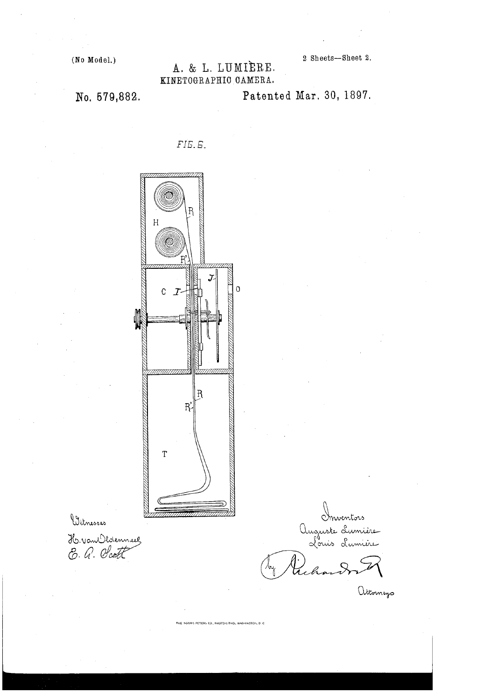(No Model.)

2 Sheets-Sheet 2.

## A. & L. LUMIÈRE. KINETOGRAPHIC CAMERA.

No. 579,882.

Patented Mar. 30, 1897.

 $FIE. E.$ 



Witnesses

H. van Oldenneel<br>E. G. Olatt

Inventors<br>Auguste Lumière<br>Louis Lumière

attorneys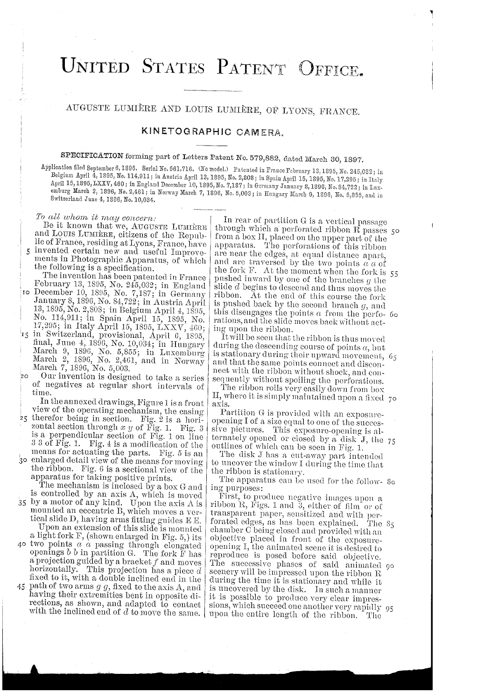# UNITED STATES PATENT OFFICE.

# AUGUSTE LUMIÈRE AND LOUIS LUMIÈRE, OF LYONS, FRANCE.

#### KINETOGRAPHIC CAMERA.

# SPECIFICATION forming part of Letters Patent No. 579,882, dated March 30, 1897.

Application filed September 6, 1895. Serial No. 561,716. (No model.) Patented in France February 13, 1895, No. 245,032; in Belgium April 4, 1895, No. 114,911; in Austria April 13, 1895, No. 2,808; in Spain April 15, 1895, No. 17,295; in Italy April 15, 1895, LXXV, 460; in England December 10, 1895, No. 7,187; in Germany January 8, 1896, No. 84,722; in Luxemburg March 2, 1896, No. 2,461, in Norway March 7, 1896, No. 5,003; in Hungary March 9, 1896, No. 5,855, and in Switzerland June 4, 1896, No. 10,034.

### To all whom it may concern:

Be it known that we, AUGUSTE LUMIÈRE and LOUIS LUMIERE, citizens of the Republic of France, residing at Lyons, France, have invented certain new and useful Improvements in Photographic Apparatus, of which the following is a specification.

The invention has been patented in France<br>February 13, 1895, No. 245,032; in England<br>to December 10, 1895, No. 7,187; in Germany<br>January 8, 1896, No. 84,722; in Austria April<br>13, 1895, No. 2,808; in Belgium April 4, 1895,<br>

No. 114,911; in Spain April 15, 1895, No.<br>
17,295; in Italy April 15, 1895, No.<br>
17,295; in Italy April 15, 1895, LXXV, 460;<br>
15 in Switzerland, provisional, April 6, 1895,<br>
final, June 4, 1896, No. 19,094; in Hungary March 9, 1896, No. 5,855; in Luxemburg<br>March 2, 1896, No. 2,461, and in Norway<br>March 7, 1896, No. 5,003.

Our invention is designed to take a series  $20$ of negatives at regular short intervals of time.

In the annexed drawings, Figure 1 is a front view of the operating mechanism, the casing

25 therefor being in section. Fig. 2 is a horizontal section through  $x y$  of Fig. 1. Fig. 3<br>is a perpendicular section of Fig. 1 on line 3 3 of Fig. 1. Fig. 4 is a modification of the means for actuating the parts. Fig. 5 is an 30 enlarged detail view of the means for moving the ribbon. Fig. 6 is a sectional view of the apparatus for taking positive prints.

The mechanism is inclosed by a box  $G$  and is controlled by an axis A, which is moved<br>35 by a motor of any kind. Upon the axis A is mounted an eccentric B, which moves a vertical slide D, having arms fitting guides E E. Upon an extension of this slide is mounted a light fork F, (shown enlarged in Fig. 5,) its 40 two points  $a \ a$  passing through elongated openings  $b\;b$  in partition G. The fork  $F$  has a projection guided by a bracket  $f$  and moves<br>horizontally. This projection has a piece  $d$ fixed to it, with a double inclined end in the path of two arms  $g$   $g$ , fixed to the axis  $A$ , and 45 having their extremities bent in opposite directions, as shown, and adapted to contact with the inclined end of  $d$  to move the same.

In rear of partition G is a vertical passage through which a perforated ribbon R passes 50 from a box II, placed on the upper part of the apparatus. The perforations of this ribbon are near the edges, at equal distance apart, and are traversed by the two points  $a \dot a$  of the fork F. At the moment when the fork is 55 pushed inward by one of the branches  $g$  the slide  $d$  begins to descend and thus moves the ribbon. At the end of this course the fork is pushed back by the second branch  $g$ , and this disengages the points  $a$  from the perfo- 60 rations, and the slide moves back without acting upon the ribbon.

It will be seen that the ribbon is thus moved during the descending course of points  $a$ , but is stationary during their upward movement, 65 and that the same points connect and disconnect with the ribbon without shock, and consequently without spoiling the perforations.

The ribbon rolls very easily down from box H, where it is simply maintained upon a fixed 70 axis.

Partition G is provided with an exposureopening I of a size equal to one of the successive pictures. This exposure-opening is alternately opened or closed by a disk J, the 75 outlines of which can be seen in Fig. 1.

The disk J has a cut-away part intended to uncover the window I during the time that the ribbon is stationary.

The apparatus can be used for the follow- 80 ing purposes:

First, to produce negative images upon a ribbon R, Figs. 1 and 3, either of film or of transparent paper, sensitized and with perforated edges, as has been explained. The 85 chamber C being closed and provided with an objective placed in front of the exposureopening I, the animated scene it is desired to reproduce is posed before said objective.<br>The successive phases of said animated 90<br>scenery will be impressed upon the ribbon R during the time it is stationary and while it is uncovered by the disk. In such a manner it is possible to produce very clear impressions, which succeed one another very rapidly 95 upon the entire length of the ribbon. The